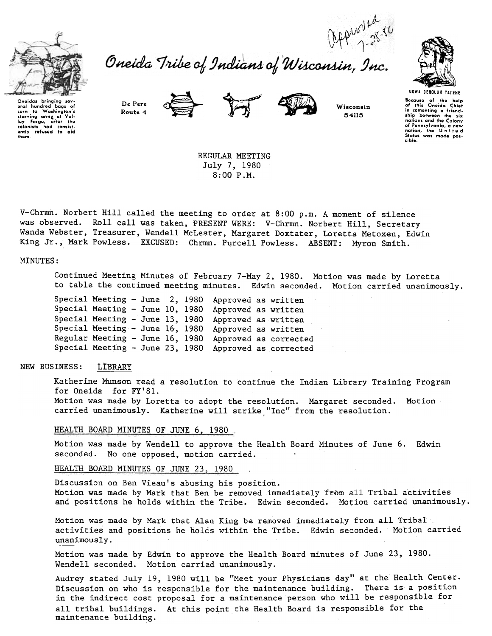

carn to Washington's

corn to Washington's<br>starving army at Valley Forge, after the<br>colonists had consistently refused to aid<br>them.

bags

oral hundrod

Oneida Tribe of Indians of Wisconsin, Inc.







Wisconsin 54115



**UGWA DENOLUN YATENE** 

Because of the help<br>of this Oneida Chief in comenting a friendship between the six nations and the Colony<br>of Pennsylvania, a new nation, the United<br>States was made possible.

De Pere Route 4





REGULAR MEETING July 7, 1980 8:00 P.M.

V-Chrmn. Norbert Hill called the meeting to order at 8:00 p.m. A moment of silence was observed. Roll call was taken, PRESENT WERE: V-Chrmn. Norbert Hill, Secretary Wanda Webster, Treasurer, Wendell McLester, Margaret Doxtater, Loretta Metoxen, Edwin King Jr., Mark Powless. EXCUSED: Chrmn. Purcell Powless. ABSENT: Myron Smith.

# MINUTES:

Continued Meeting Minutes of February 7-May 2, 1980. Motion was made by Loretta to table the continued meeting minutes. Edwin seconded. Motion carried unanimously.

Special Meeting - June 2, 1980 Approved as written Special Meeting - June 10, 1980 Approved as written Special Meeting - June 13, 1980 Approved as written Special Meeting - June 16, 1980 Approved as written Regular Meeting - June 16, 1980 Approved as corrected Special Meeting - June 23, 1980 Approved as corrected

#### NEW BUSINESS: LIBRARY

Katherine Munson read a resolution to continue the Indian Library Training Program for Oneida for FY'81.

Motion was made by Loretta to adopt the resolution. Margaret seconded. Motion carried unanimously. Katherine will strike "Inc" from the resolution.

### HEALTH BOARD MINUTES OF JUNE 6, 1980

Motion was made by Wendell to approve the Health Board Minutes of June 6. Edwin seconded. No one opposed, motion carried.

HEALTH BOARD MINUTES OF JUNE 23, 1980

Discussion on Ben Vieau's abusing his position. Motion was made by Mark that Ben be removed immediately from all Tribal activities and positions he holds within the Tribe. Edwin seconded. Motion carried unanimously.

Motion was made by Mark that Alan King be removed immediately from all Tribal activities and positions he holds within the Tribe. Edwin seconded. Motion carried unanimously.

Motion was made by Edwin to approve the Health Board minutes of June 23, 1980. Wendell seconded. Motion carried unanimously.

Audrey stated July 19, 1980 will be "Meet your Physicians day" at the Health Center. Discussion on who is responsible for the maintenance building. There is a position in the indirect cost proposal for a maintenance person who will be responsible for all tribal buildings. At this point the Health Board is responsible for the maintenance building.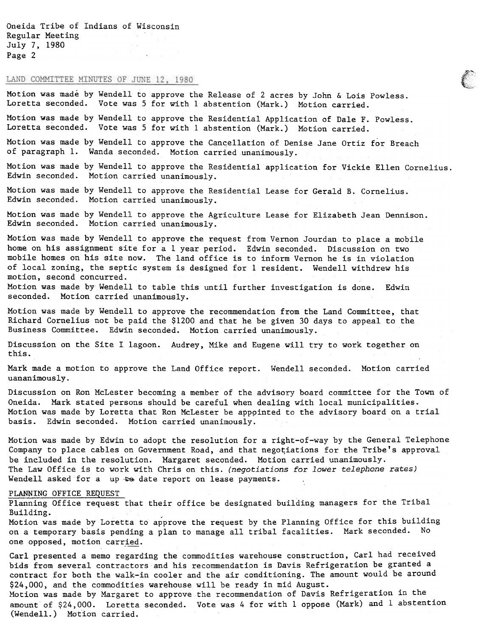Oneida Tribe of Indians of Wisconsin Regular Meeting July 7, 1980 Page 2

# LAND COMMITTEE MINUTES OF JUNE 12, 1980

Motion was made by Wendell to approve the Release of 2 acres by John & Lois Powless. Loretta seconded. Vote was 5 for with 1 abstention (Mark.) Motion carried.

Motion was made by Wendell to approve the Residential Application of Dale F. Powless. Loretta seconded. Vote was 5 for with 1 abstention (Mark.) Motion carried.

Motion was made by Wendell to approve the Cancellation of Denise Jane Ortiz for Breach of paragraph 1. Wanda seconded. Motion carried unanimously.

Motion was made by Wendell to approve the Residential application for Vickie Ellen Cornelius. Edwin seconded. Motion carried unanimously.

 $\mathcal{F}^*$ ,  $\lambda_{\rm max}$ 

Motion was made by Wendell to approve the Residential Lease for Gerald B. Cornelius. Edwin seconded. Motion carried unanimously.

Motion was made by Wendell to approve the Agriculture Lease for Elizabeth Jean Dennison. Edwin seconded. Motion carried unanimously.

Motion was made by Wendell to approve the request from Vernon Jourdan to place a mobile home on his assignment site for a 1 year period. Edwin seconded. Discussion on two mobile homes on his site now. The land office is to inform Vernon he is in violation of local zoning, the septic system is designed for 1 resident. Wendell withdrew his motion, second concurred.

Motion was made by Wendell to table this until further investigation is done. Edwin seconded. Motion carried unanimously.

Motion was made by Wendell to approve the recommendation from the Land Committee, that Richard Cornelius not be paid the \$1200 and that he be given 30 days to appeal to the Business Committee. Edwin seconded. Motion carried unanimously.

Discussion on the Site I lagoon. Audrey, Mike and Eugene will try to work together on this.

Mark made a motion to approve the Land Office report. Wendell seconded. Motion carried uananimously.

Discussion on Ron McLester becoming a member of the advisory board committee for the Town of Oneida. Mark stated persons should be careful when dealing with local municipalities. Motion was made by Loretta that Ron McLester be apppinted to the advisory board on a trial basis. Edwin seconded. Motion carried unanimously.

Motion was made by Edwin to adopt the resolution for a right-of-way by the General Telephone Company to place cables on Government Road, and that negotiations for the Tribe's approval be included in the resolution. Margaret seconded. Motion carried unanimously. The Law Office is to work with Chris on this. (negotiations for lower telephone rates) Wendell asked for a up  $\bullet\bullet$  date report on lease payments.

#### PLANNING OFFICE REQUEST

Planning Office request tnat their office be designated building managers for the Tribal Building.

Motion was made by Loretta to approve the request by the Planning Office for this building on a temporary basis pending a plan to manage all tribal facalities. Mark seconded. No one opposed, motion carried.

Carl presented a memo regarding the commodities warehouse construction, Carl had received bids from several contractors and his recommendation is Davis Refrigeration be granted a contract for both the walk-in cooler and the air conditioning. The amount would be around \$24,000, and the commodities warehouse will be ready in mid August.

Motion was made by Margaret to approve the recommendation of Davis Refrigeration in the amount of \$24,000. Loretta seconded. Vote was 4 for with 1 oppose (Mark) and 1 abstention (Wendell.) Motion carried.